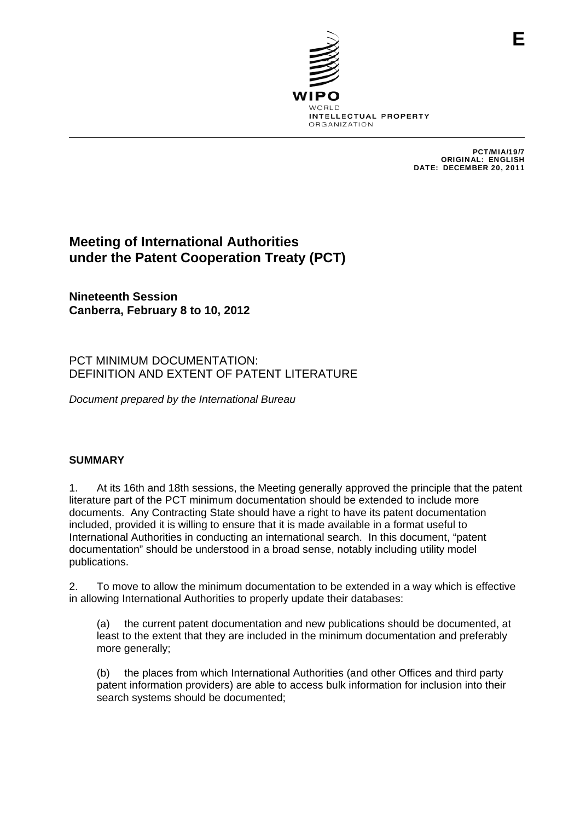

PCT/MIA/19/7 ORIGINAL: ENGLISH DATE: DECEMBER 20, 2011

**E**

# **Meeting of International Authorities under the Patent Cooperation Treaty (PCT)**

**Nineteenth Session Canberra, February 8 to 10, 2012** 

# PCT MINIMUM DOCUMENTATION: DEFINITION AND EXTENT OF PATENT LITERATURE

*Document prepared by the International Bureau* 

### **SUMMARY**

1. At its 16th and 18th sessions, the Meeting generally approved the principle that the patent literature part of the PCT minimum documentation should be extended to include more documents. Any Contracting State should have a right to have its patent documentation included, provided it is willing to ensure that it is made available in a format useful to International Authorities in conducting an international search. In this document, "patent documentation" should be understood in a broad sense, notably including utility model publications.

2. To move to allow the minimum documentation to be extended in a way which is effective in allowing International Authorities to properly update their databases:

(a) the current patent documentation and new publications should be documented, at least to the extent that they are included in the minimum documentation and preferably more generally;

(b) the places from which International Authorities (and other Offices and third party patent information providers) are able to access bulk information for inclusion into their search systems should be documented;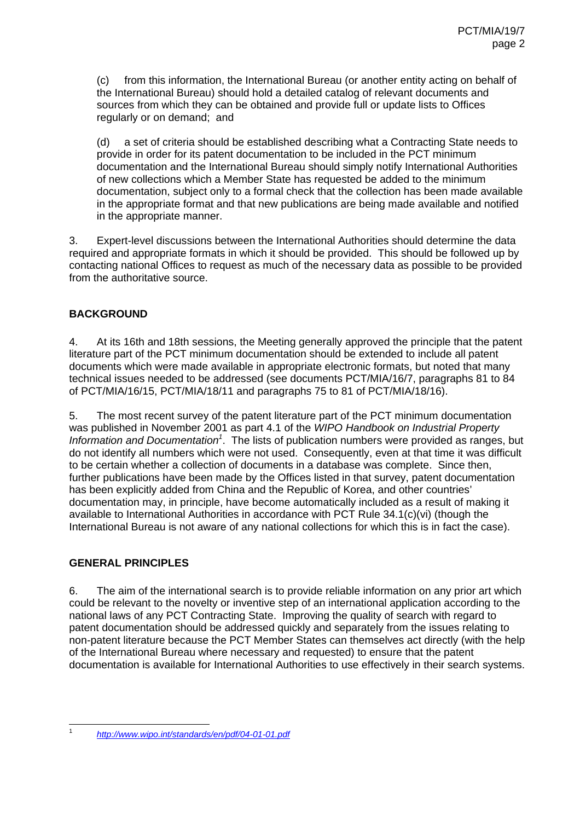(c) from this information, the International Bureau (or another entity acting on behalf of the International Bureau) should hold a detailed catalog of relevant documents and sources from which they can be obtained and provide full or update lists to Offices regularly or on demand; and

(d) a set of criteria should be established describing what a Contracting State needs to provide in order for its patent documentation to be included in the PCT minimum documentation and the International Bureau should simply notify International Authorities of new collections which a Member State has requested be added to the minimum documentation, subject only to a formal check that the collection has been made available in the appropriate format and that new publications are being made available and notified in the appropriate manner.

3. Expert-level discussions between the International Authorities should determine the data required and appropriate formats in which it should be provided. This should be followed up by contacting national Offices to request as much of the necessary data as possible to be provided from the authoritative source.

## **BACKGROUND**

4. At its 16th and 18th sessions, the Meeting generally approved the principle that the patent literature part of the PCT minimum documentation should be extended to include all patent documents which were made available in appropriate electronic formats, but noted that many technical issues needed to be addressed (see documents PCT/MIA/16/7, paragraphs 81 to 84 of PCT/MIA/16/15, PCT/MIA/18/11 and paragraphs 75 to 81 of PCT/MIA/18/16).

5. The most recent survey of the patent literature part of the PCT minimum documentation was published in November 2001 as part 4.1 of the *WIPO Handbook on Industrial Property*  Information and Documentation<sup>1</sup>. The lists of publication numbers were provided as ranges, but do not identify all numbers which were not used. Consequently, even at that time it was difficult to be certain whether a collection of documents in a database was complete. Since then, further publications have been made by the Offices listed in that survey, patent documentation has been explicitly added from China and the Republic of Korea, and other countries' documentation may, in principle, have become automatically included as a result of making it available to International Authorities in accordance with PCT Rule 34.1(c)(vi) (though the International Bureau is not aware of any national collections for which this is in fact the case).

### **GENERAL PRINCIPLES**

6. The aim of the international search is to provide reliable information on any prior art which could be relevant to the novelty or inventive step of an international application according to the national laws of any PCT Contracting State. Improving the quality of search with regard to patent documentation should be addressed quickly and separately from the issues relating to non-patent literature because the PCT Member States can themselves act directly (with the help of the International Bureau where necessary and requested) to ensure that the patent documentation is available for International Authorities to use effectively in their search systems.

 $\frac{1}{1}$ 

*http://www.wipo.int/standards/en/pdf/04-01-01.pdf*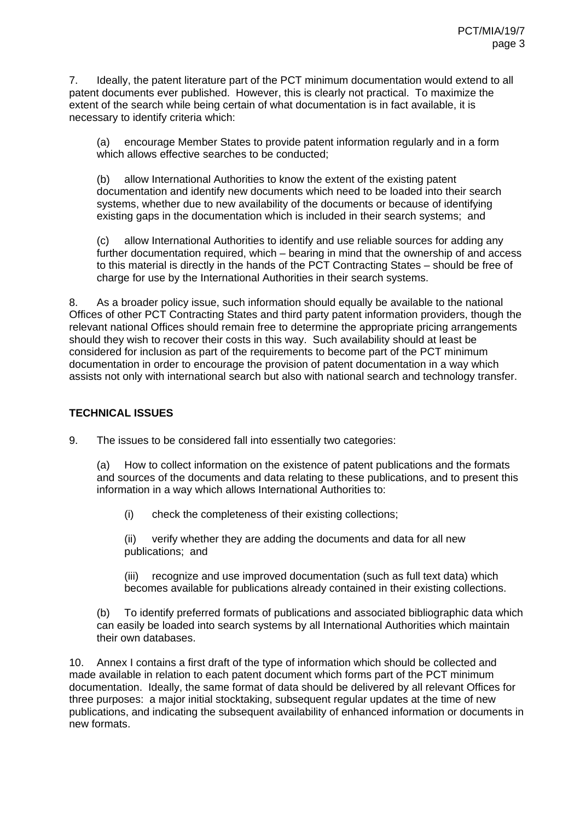7. Ideally, the patent literature part of the PCT minimum documentation would extend to all patent documents ever published. However, this is clearly not practical. To maximize the extent of the search while being certain of what documentation is in fact available, it is necessary to identify criteria which:

(a) encourage Member States to provide patent information regularly and in a form which allows effective searches to be conducted;

(b) allow International Authorities to know the extent of the existing patent documentation and identify new documents which need to be loaded into their search systems, whether due to new availability of the documents or because of identifying existing gaps in the documentation which is included in their search systems; and

(c) allow International Authorities to identify and use reliable sources for adding any further documentation required, which – bearing in mind that the ownership of and access to this material is directly in the hands of the PCT Contracting States – should be free of charge for use by the International Authorities in their search systems.

8. As a broader policy issue, such information should equally be available to the national Offices of other PCT Contracting States and third party patent information providers, though the relevant national Offices should remain free to determine the appropriate pricing arrangements should they wish to recover their costs in this way. Such availability should at least be considered for inclusion as part of the requirements to become part of the PCT minimum documentation in order to encourage the provision of patent documentation in a way which assists not only with international search but also with national search and technology transfer.

# **TECHNICAL ISSUES**

9. The issues to be considered fall into essentially two categories:

(a) How to collect information on the existence of patent publications and the formats and sources of the documents and data relating to these publications, and to present this information in a way which allows International Authorities to:

(i) check the completeness of their existing collections;

(ii) verify whether they are adding the documents and data for all new publications; and

(iii) recognize and use improved documentation (such as full text data) which becomes available for publications already contained in their existing collections.

(b) To identify preferred formats of publications and associated bibliographic data which can easily be loaded into search systems by all International Authorities which maintain their own databases.

10. Annex I contains a first draft of the type of information which should be collected and made available in relation to each patent document which forms part of the PCT minimum documentation. Ideally, the same format of data should be delivered by all relevant Offices for three purposes: a major initial stocktaking, subsequent regular updates at the time of new publications, and indicating the subsequent availability of enhanced information or documents in new formats.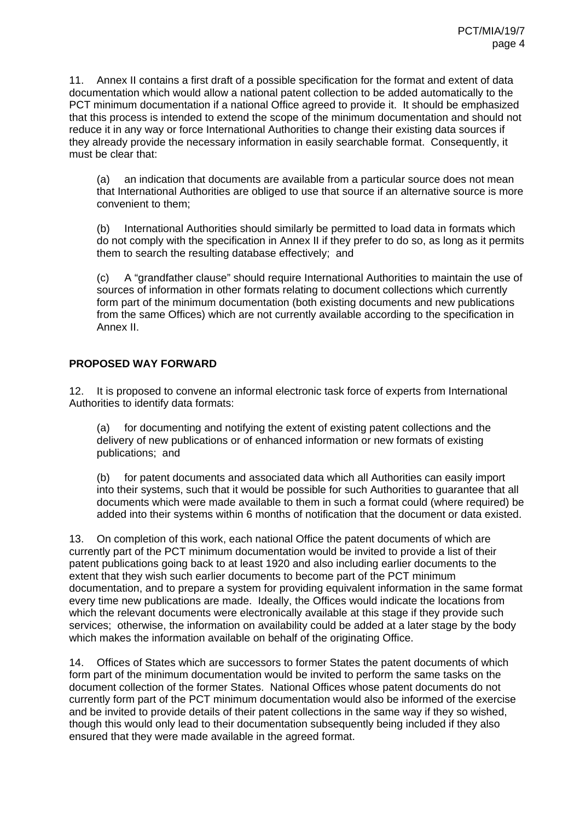11. Annex II contains a first draft of a possible specification for the format and extent of data documentation which would allow a national patent collection to be added automatically to the PCT minimum documentation if a national Office agreed to provide it. It should be emphasized that this process is intended to extend the scope of the minimum documentation and should not reduce it in any way or force International Authorities to change their existing data sources if they already provide the necessary information in easily searchable format. Consequently, it must be clear that:

(a) an indication that documents are available from a particular source does not mean that International Authorities are obliged to use that source if an alternative source is more convenient to them;

(b) International Authorities should similarly be permitted to load data in formats which do not comply with the specification in Annex II if they prefer to do so, as long as it permits them to search the resulting database effectively; and

(c) A "grandfather clause" should require International Authorities to maintain the use of sources of information in other formats relating to document collections which currently form part of the minimum documentation (both existing documents and new publications from the same Offices) which are not currently available according to the specification in Annex II.

#### **PROPOSED WAY FORWARD**

12. It is proposed to convene an informal electronic task force of experts from International Authorities to identify data formats:

(a) for documenting and notifying the extent of existing patent collections and the delivery of new publications or of enhanced information or new formats of existing publications; and

(b) for patent documents and associated data which all Authorities can easily import into their systems, such that it would be possible for such Authorities to guarantee that all documents which were made available to them in such a format could (where required) be added into their systems within 6 months of notification that the document or data existed.

13. On completion of this work, each national Office the patent documents of which are currently part of the PCT minimum documentation would be invited to provide a list of their patent publications going back to at least 1920 and also including earlier documents to the extent that they wish such earlier documents to become part of the PCT minimum documentation, and to prepare a system for providing equivalent information in the same format every time new publications are made. Ideally, the Offices would indicate the locations from which the relevant documents were electronically available at this stage if they provide such services; otherwise, the information on availability could be added at a later stage by the body which makes the information available on behalf of the originating Office.

14. Offices of States which are successors to former States the patent documents of which form part of the minimum documentation would be invited to perform the same tasks on the document collection of the former States. National Offices whose patent documents do not currently form part of the PCT minimum documentation would also be informed of the exercise and be invited to provide details of their patent collections in the same way if they so wished, though this would only lead to their documentation subsequently being included if they also ensured that they were made available in the agreed format.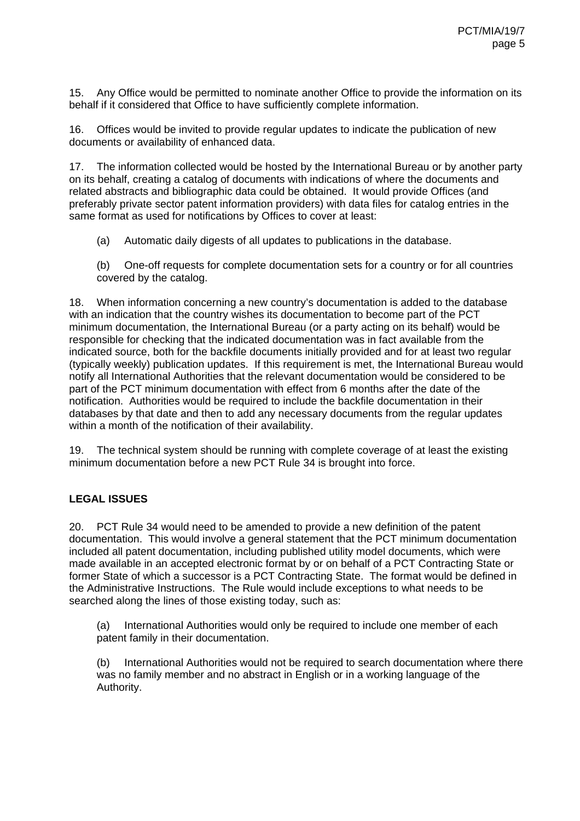15. Any Office would be permitted to nominate another Office to provide the information on its behalf if it considered that Office to have sufficiently complete information.

16. Offices would be invited to provide regular updates to indicate the publication of new documents or availability of enhanced data.

17. The information collected would be hosted by the International Bureau or by another party on its behalf, creating a catalog of documents with indications of where the documents and related abstracts and bibliographic data could be obtained. It would provide Offices (and preferably private sector patent information providers) with data files for catalog entries in the same format as used for notifications by Offices to cover at least:

- (a) Automatic daily digests of all updates to publications in the database.
- (b) One-off requests for complete documentation sets for a country or for all countries covered by the catalog.

18. When information concerning a new country's documentation is added to the database with an indication that the country wishes its documentation to become part of the PCT minimum documentation, the International Bureau (or a party acting on its behalf) would be responsible for checking that the indicated documentation was in fact available from the indicated source, both for the backfile documents initially provided and for at least two regular (typically weekly) publication updates. If this requirement is met, the International Bureau would notify all International Authorities that the relevant documentation would be considered to be part of the PCT minimum documentation with effect from 6 months after the date of the notification. Authorities would be required to include the backfile documentation in their databases by that date and then to add any necessary documents from the regular updates within a month of the notification of their availability.

19. The technical system should be running with complete coverage of at least the existing minimum documentation before a new PCT Rule 34 is brought into force.

# **LEGAL ISSUES**

20. PCT Rule 34 would need to be amended to provide a new definition of the patent documentation. This would involve a general statement that the PCT minimum documentation included all patent documentation, including published utility model documents, which were made available in an accepted electronic format by or on behalf of a PCT Contracting State or former State of which a successor is a PCT Contracting State. The format would be defined in the Administrative Instructions. The Rule would include exceptions to what needs to be searched along the lines of those existing today, such as:

(a) International Authorities would only be required to include one member of each patent family in their documentation.

(b) International Authorities would not be required to search documentation where there was no family member and no abstract in English or in a working language of the Authority.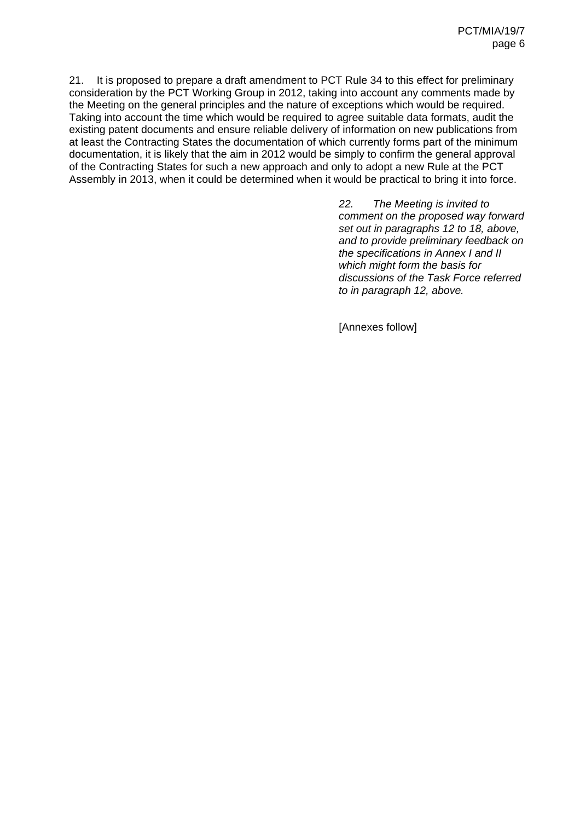21. It is proposed to prepare a draft amendment to PCT Rule 34 to this effect for preliminary consideration by the PCT Working Group in 2012, taking into account any comments made by the Meeting on the general principles and the nature of exceptions which would be required. Taking into account the time which would be required to agree suitable data formats, audit the existing patent documents and ensure reliable delivery of information on new publications from at least the Contracting States the documentation of which currently forms part of the minimum documentation, it is likely that the aim in 2012 would be simply to confirm the general approval of the Contracting States for such a new approach and only to adopt a new Rule at the PCT Assembly in 2013, when it could be determined when it would be practical to bring it into force.

> *22. The Meeting is invited to comment on the proposed way forward set out in paragraphs 12 to 18, above, and to provide preliminary feedback on the specifications in Annex I and II which might form the basis for discussions of the Task Force referred to in paragraph 12, above.*

[Annexes follow]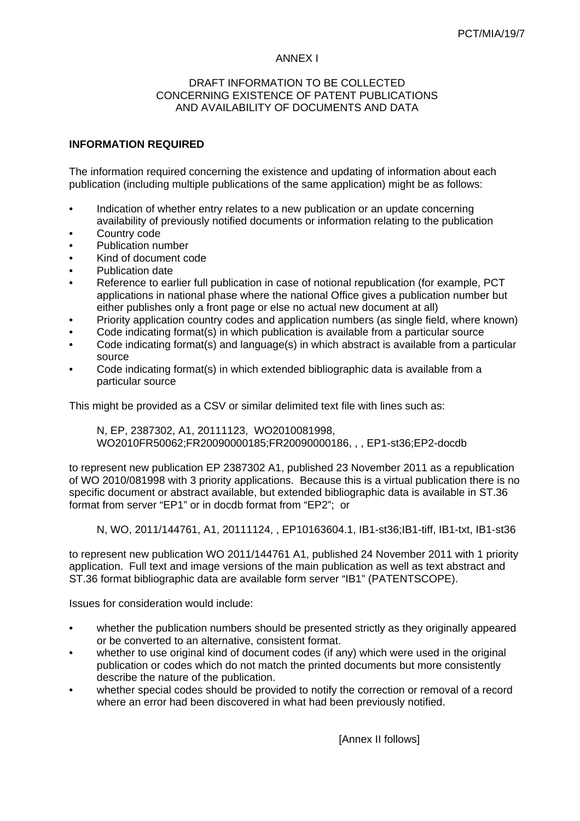#### ANNEX I

#### DRAFT INFORMATION TO BE COLLECTED. CONCERNING EXISTENCE OF PATENT PUBLICATIONS AND AVAILABILITY OF DOCUMENTS AND DATA

### **INFORMATION REQUIRED**

The information required concerning the existence and updating of information about each publication (including multiple publications of the same application) might be as follows:

- Indication of whether entry relates to a new publication or an update concerning availability of previously notified documents or information relating to the publication
- Country code
- Publication number
- Kind of document code
- Publication date
- Reference to earlier full publication in case of notional republication (for example, PCT applications in national phase where the national Office gives a publication number but either publishes only a front page or else no actual new document at all)
- Priority application country codes and application numbers (as single field, where known)
- Code indicating format(s) in which publication is available from a particular source
- Code indicating format(s) and language(s) in which abstract is available from a particular source
- Code indicating format(s) in which extended bibliographic data is available from a particular source

This might be provided as a CSV or similar delimited text file with lines such as:

N, EP, 2387302, A1, 20111123, WO2010081998, WO2010FR50062;FR20090000185;FR20090000186, , , EP1-st36;EP2-docdb

to represent new publication EP 2387302 A1, published 23 November 2011 as a republication of WO 2010/081998 with 3 priority applications. Because this is a virtual publication there is no specific document or abstract available, but extended bibliographic data is available in ST.36 format from server "EP1" or in docdb format from "EP2"; or

N, WO, 2011/144761, A1, 20111124, , EP10163604.1, IB1-st36;IB1-tiff, IB1-txt, IB1-st36

to represent new publication WO 2011/144761 A1, published 24 November 2011 with 1 priority application. Full text and image versions of the main publication as well as text abstract and ST.36 format bibliographic data are available form server "IB1" (PATENTSCOPE).

Issues for consideration would include:

- whether the publication numbers should be presented strictly as they originally appeared or be converted to an alternative, consistent format.
- whether to use original kind of document codes (if any) which were used in the original publication or codes which do not match the printed documents but more consistently describe the nature of the publication.
- whether special codes should be provided to notify the correction or removal of a record where an error had been discovered in what had been previously notified.

[Annex II follows]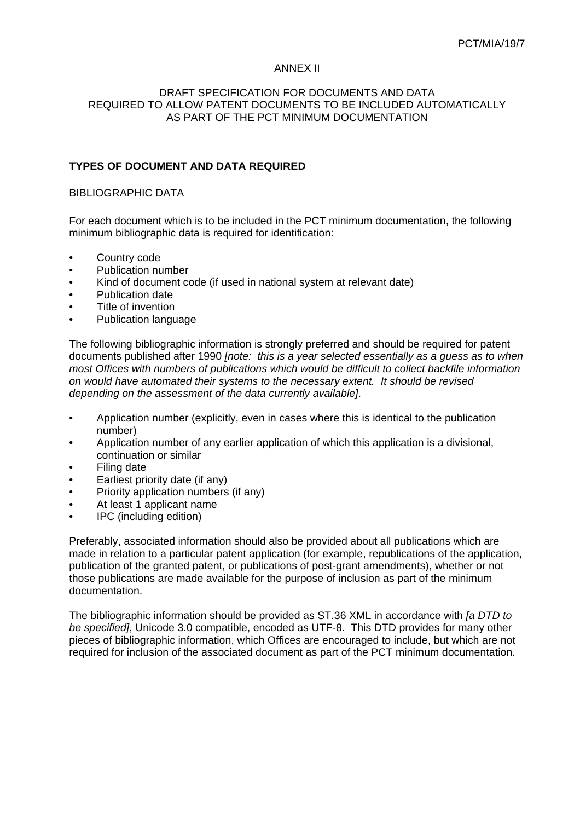#### ANNEX II

#### DRAFT SPECIFICATION FOR DOCUMENTS AND DATA REQUIRED TO ALLOW PATENT DOCUMENTS TO BE INCLUDED AUTOMATICALLY AS PART OF THE PCT MINIMUM DOCUMENTATION

## **TYPES OF DOCUMENT AND DATA REQUIRED**

#### BIBLIOGRAPHIC DATA

For each document which is to be included in the PCT minimum documentation, the following minimum bibliographic data is required for identification:

- Country code
- Publication number
- Kind of document code (if used in national system at relevant date)
- Publication date
- Title of invention
- Publication language

The following bibliographic information is strongly preferred and should be required for patent documents published after 1990 *[note: this is a year selected essentially as a guess as to when most Offices with numbers of publications which would be difficult to collect backfile information on would have automated their systems to the necessary extent. It should be revised depending on the assessment of the data currently available]*.

- Application number (explicitly, even in cases where this is identical to the publication number)
- Application number of any earlier application of which this application is a divisional, continuation or similar
- **Filing date**
- Earliest priority date (if any)
- Priority application numbers (if any)
- At least 1 applicant name
- IPC (including edition)

Preferably, associated information should also be provided about all publications which are made in relation to a particular patent application (for example, republications of the application, publication of the granted patent, or publications of post-grant amendments), whether or not those publications are made available for the purpose of inclusion as part of the minimum documentation.

The bibliographic information should be provided as ST.36 XML in accordance with *[a DTD to be specified]*, Unicode 3.0 compatible, encoded as UTF-8. This DTD provides for many other pieces of bibliographic information, which Offices are encouraged to include, but which are not required for inclusion of the associated document as part of the PCT minimum documentation.